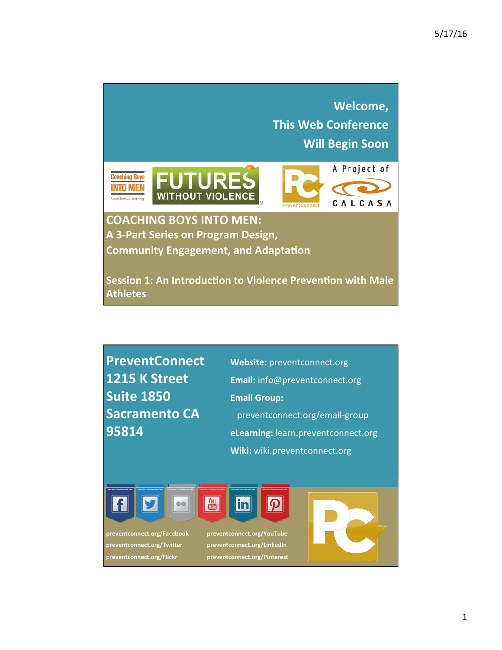

**PreventConnect Website:** preventconnect.org **1215 K Street Email:** info@preventconnect.org **Suite 1850 Email Group: Sacramento CA** preventconnect.org/email-group **95814 eLearning:** learn.preventconnect.org **Wiki:** wiki.preventconnect.org **You** lin  $|{\boldsymbol p}|$  $00$ **preventconnect.org/Facebook preventconnect.org/YouTube** preventconnect.org/Twitter **preventconnect.org/LinkedIn preventconnect.org/Flickr preventconnect.org/Pinterest**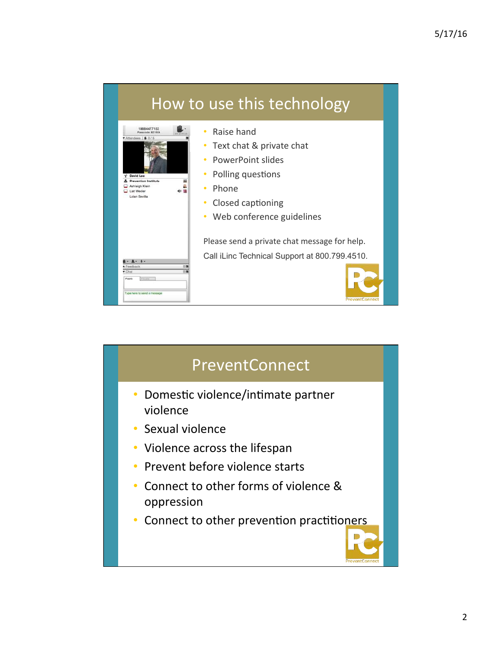# How to use this technology



- Raise hand
- Text chat & private chat
- PowerPoint slides
- Polling questions
- Phone
- Closed captioning
- Web conference guidelines

Please send a private chat message for help. Call iLinc Technical Support at 800.799.4510.



# PreventConnect • Domestic violence/intimate partner violence Sexual violence • Violence across the lifespan • Prevent before violence starts • Connect to other forms of violence & oppression • Connect to other prevention practitioners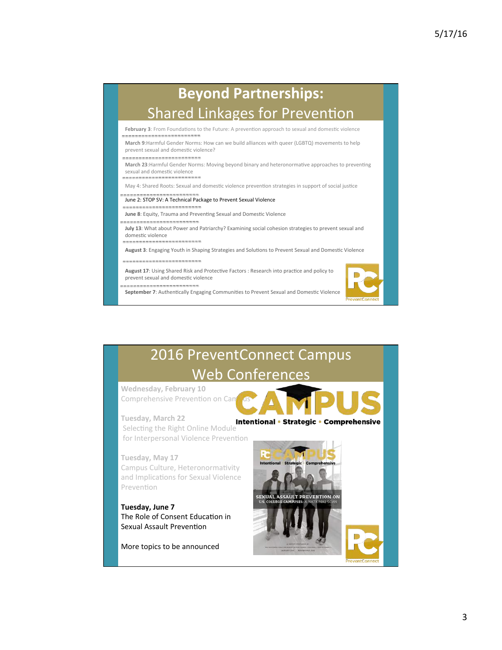# **Beyond Partnerships:** Shared Linkages for Prevention

February 3: From Foundations to the Future: A prevention approach to sexual and domestic violence

March 9:Harmful Gender Norms: How can we build alliances with queer (LGBTQ) movements to help prevent sexual and domestic violence?

--------------------

March 23:Harmful Gender Norms: Moving beyond binary and heteronormative approaches to preventing sexual and domestic violence

May 4: Shared Roots: Sexual and domestic violence prevention strategies in support of social justice

### June 2: STOP SV: A Technical Package to Prevent Sexual Violence

------------

June 8: Equity, Trauma and Preventing Sexual and Domestic Violence

------------------

**July 13**: What about Power and Patriarchy? Examining social cohesion strategies to prevent sexual and domestic violence<br>---------------------------

August 3: Engaging Youth in Shaping Strategies and Solutions to Prevent Sexual and Domestic Violence

#### -------------------------

August 17: Using Shared Risk and Protective Factors : Research into practice and policy to prevent sexual and domestic violence

September 7: Authentically Engaging Communities to Prevent Sexual and Domestic Violence

## 2016 PreventConnect Campus **Web Conferences**

**Wednesday, February 10** Comprehensive Prevention on Can

**Tuesday, March 22** 

for Interpersonal Violence Prevention

**Tuesday, May 17** Campus Culture, Heteronormativity and Implications for Sexual Violence Prevention

**Tuesday, June 7** The Role of Consent Education in Sexual Assault Prevention

More topics to be announced

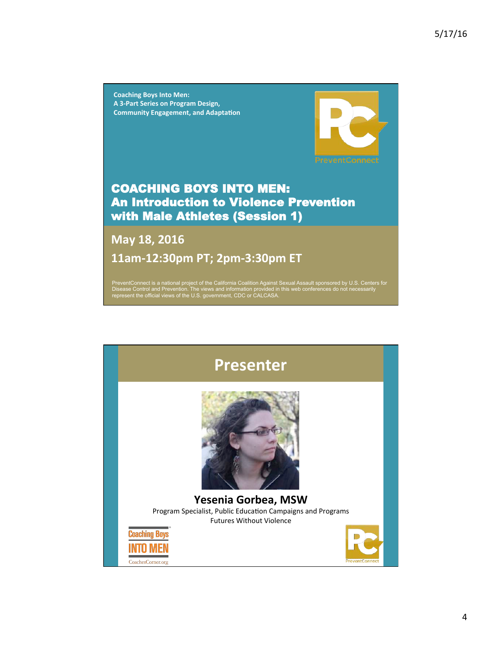**Coaching Boys Into Men: A 3-Part Series on Program Design, Community Engagement, and Adaptation** 



COACHING BOYS INTO MEN: An Introduction to Violence Prevention with Male Athletes (Session 1)

**May 18, 2016**  11am-12:30pm PT; 2pm-3:30pm ET

PreventConnect is a national project of the California Coalition Against Sexual Assault sponsored by U.S. Centers for<br>Disease Control and Prevention. The views and information provided in this web conferences do not necess represent the official views of the U.S. government, CDC or CALCASA.

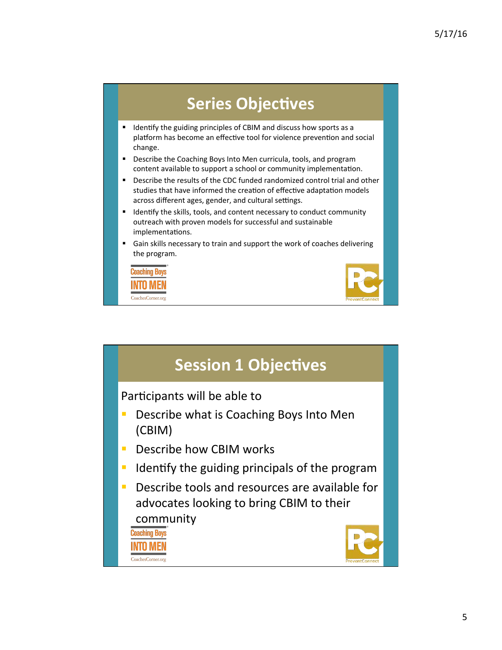### **Series Objectives** Identify the guiding principles of CBIM and discuss how sports as a platform has become an effective tool for violence prevention and social change. ■ Describe the Coaching Boys Into Men curricula, tools, and program content available to support a school or community implementation. Describe the results of the CDC funded randomized control trial and other studies that have informed the creation of effective adaptation models across different ages, gender, and cultural settings. ■ Identify the skills, tools, and content necessary to conduct community outreach with proven models for successful and sustainable implementations. ■ Gain skills necessary to train and support the work of coaches delivering the program. **Coaching Boys** CoachesCorner.org

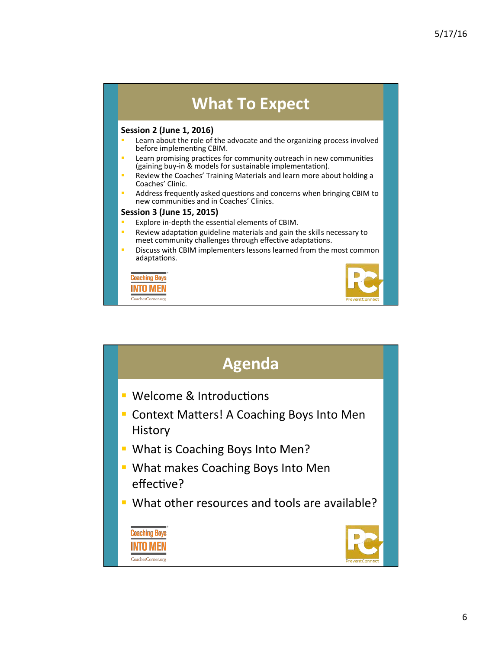

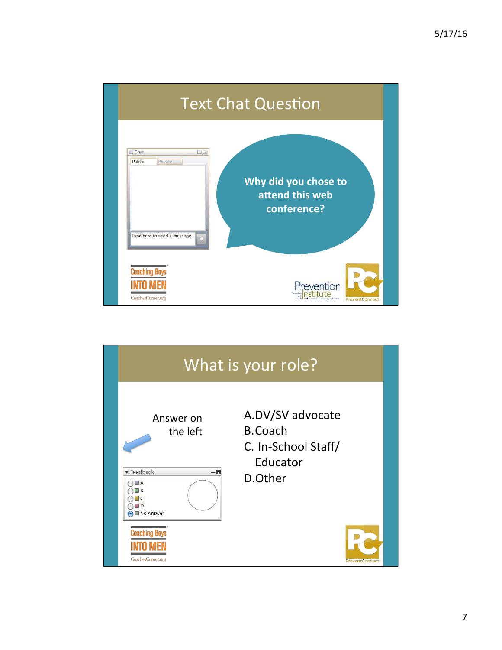| <b>Text Chat Question</b>                 |                                              |                                                        |                       |
|-------------------------------------------|----------------------------------------------|--------------------------------------------------------|-----------------------|
| Chat<br>Public.                           | 国国<br>Private<br>Type here to send a message | Why did you chose to<br>attend this web<br>conference? |                       |
| <b>Coaching Boys</b><br>CoachesCorner.org |                                              | Prevention<br>or marks well areas                      | <b>PreventConnect</b> |

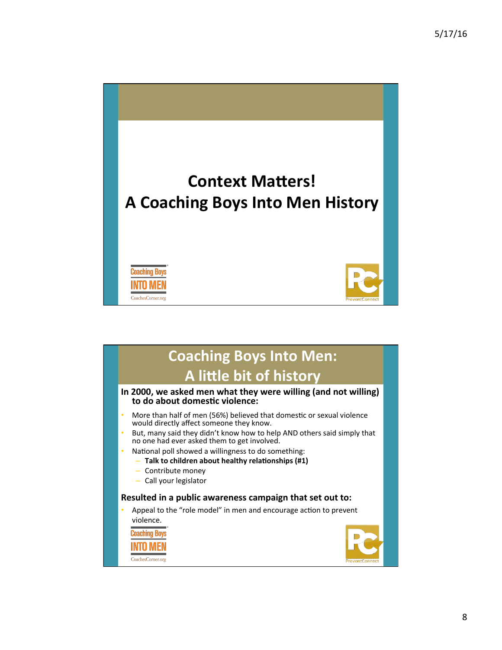

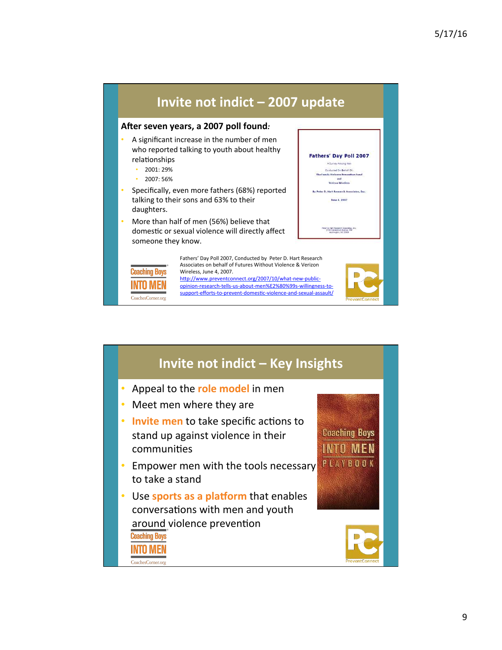

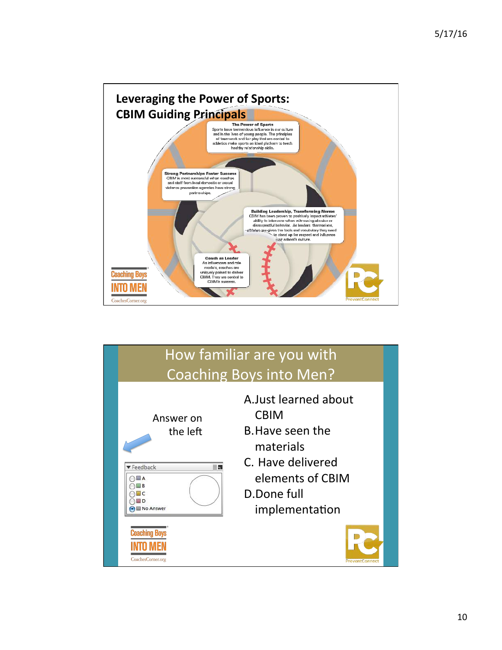

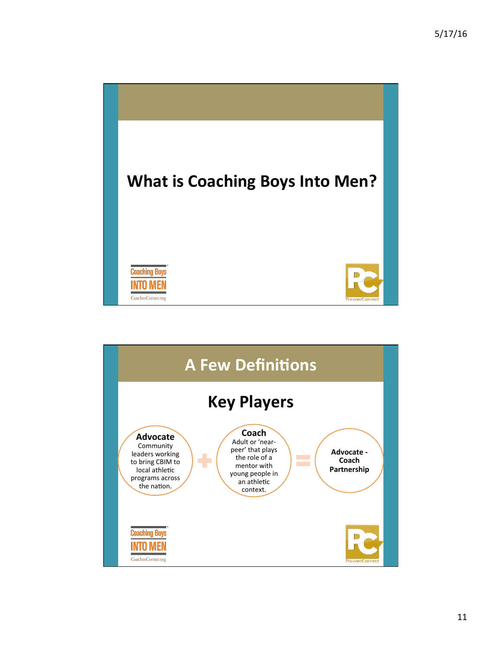

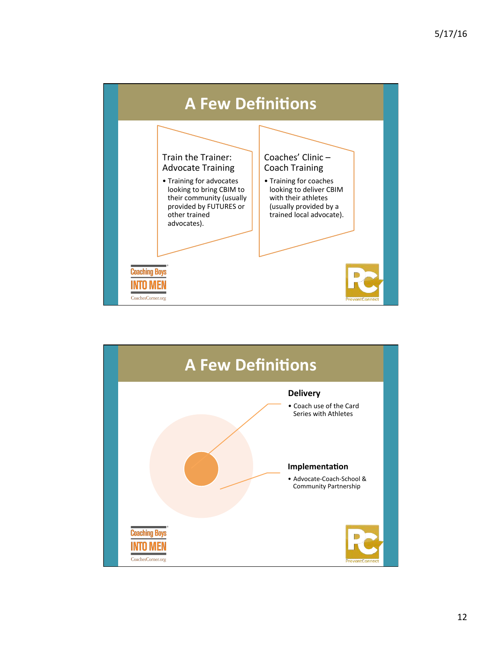

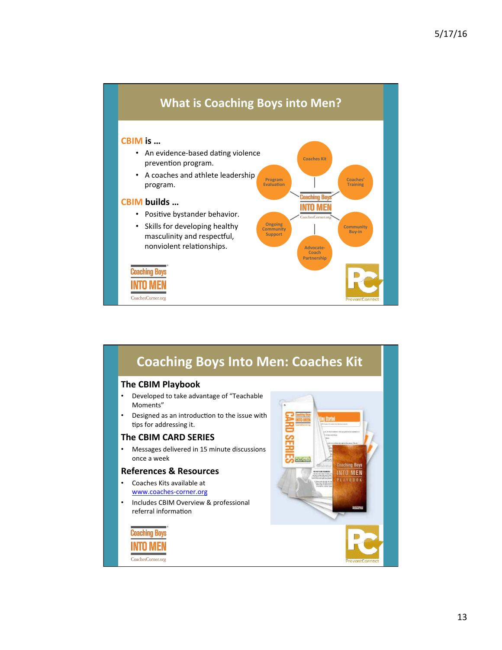

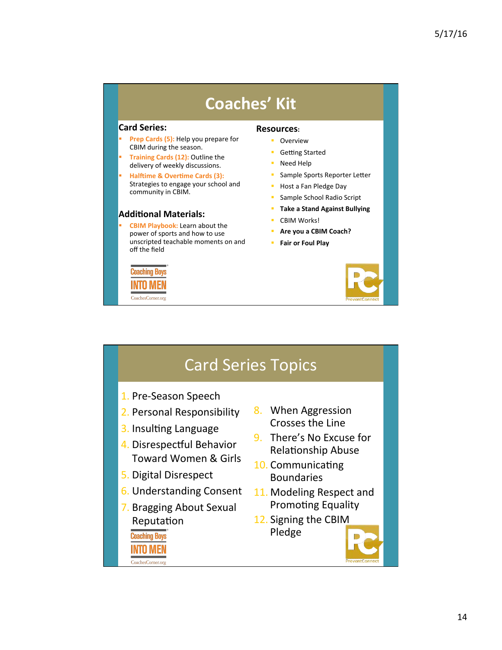# Coaches' Kit

### **Card Series:**

- Prep Cards (5): Help you prepare for CBIM during the season.
- **Training Cards (12): Outline the** delivery of weekly discussions.
- **Halftime & Overtime Cards (3):** Strategies to engage your school and community in CBIM.

### **Additional Materials:**

**Coaching Boys** INTO MEN CoachesCorner.org

**CBIM Playbook:** Learn about the power of sports and how to use unscripted teachable moments on and off the field

### **Resources:**

- Overview
- Getting Started
- Need Help
- Sample Sports Reporter Letter
- **B** Host a Fan Pledge Day
- **Sample School Radio Script**
- **F** Take a Stand Against Bullying
- CBIM Works!
- § **Are you a CBIM Coach?**
- **Fair or Foul Play**



## **Card Series Topics**

- 1. Pre-Season Speech
- 2. Personal Responsibility
- 3. Insulting Language
- 4. Disrespectful Behavior Toward Women & Girls
- 5. Digital Disrespect
- **6. Understanding Consent**
- 7. Bragging About Sexual Reputation

**Coaching Boys** 

### **INTO MEN**

### CoachesCorner.org

- 8. When Aggression Crosses the Line
- 9. There's No Excuse for Relationship Abuse
- 10. Communicating Boundaries
- 11. Modeling Respect and Promoting Equality
- 12. Signing the CBIM Pledge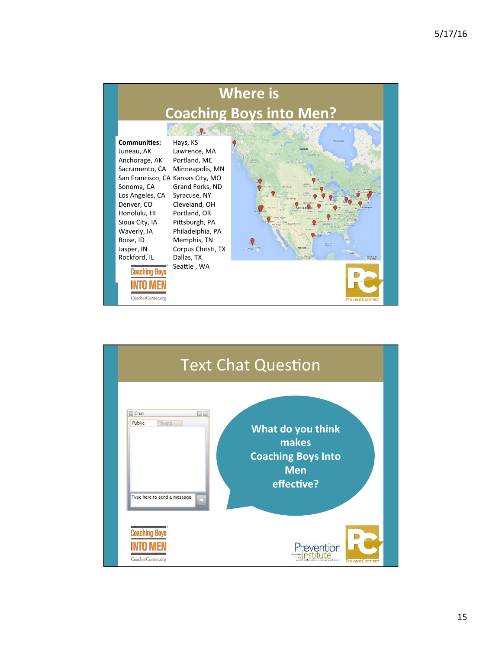

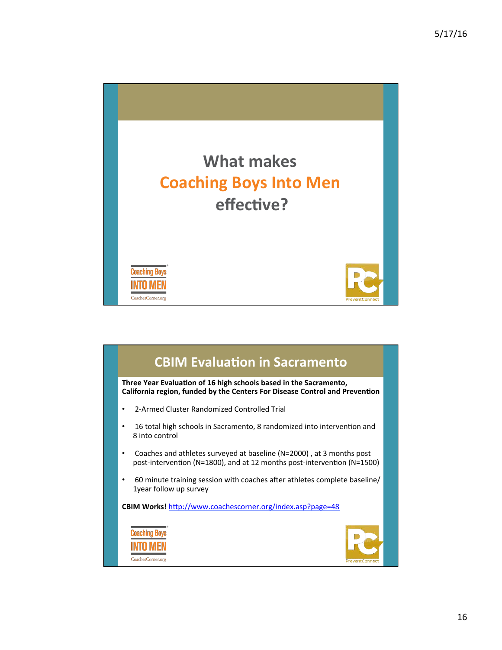

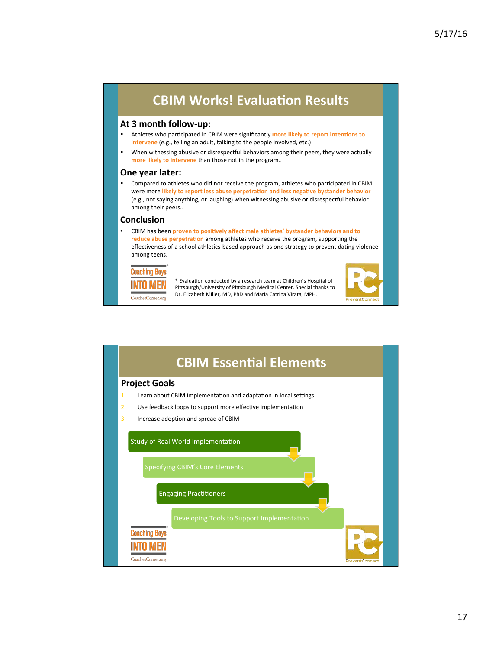### **CBIM Works! Evaluation Results**

### At 3 month follow-up:

- Athletes who participated in CBIM were significantly more likely to report intentions to intervene (e.g., telling an adult, talking to the people involved, etc.)
- When witnessing abusive or disrespectful behaviors among their peers, they were actually more likely to intervene than those not in the program.

#### **One year later:**

■ Compared to athletes who did not receive the program, athletes who participated in CBIM were more likely to report less abuse perpetration and less negative bystander behavior (e.g., not saying anything, or laughing) when witnessing abusive or disrespectful behavior among their peers.

### **Conclusion**

CBIM has been proven to positively affect male athletes' bystander behaviors and to reduce abuse perpetration among athletes who receive the program, supporting the effectiveness of a school athletics-based approach as one strategy to prevent dating violence among teens.



\* Evaluation conducted by a research team at Children's Hospital of Pittsburgh/University of Pittsburgh Medical Center. Special thanks to Dr. Elizabeth Miller, MD, PhD and Maria Catrina Virata, MPH.

reventCo

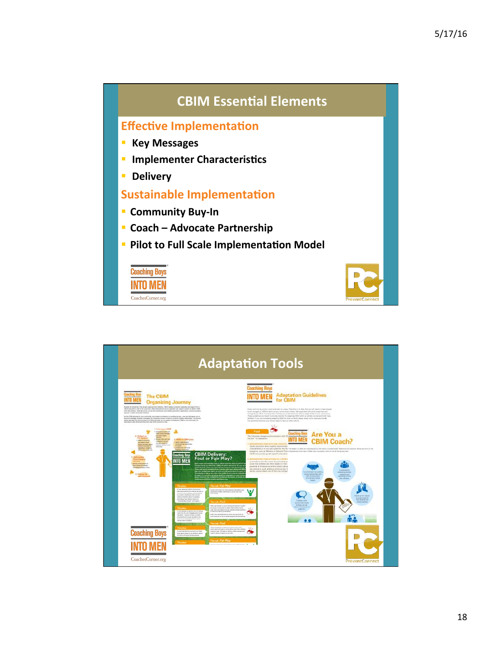

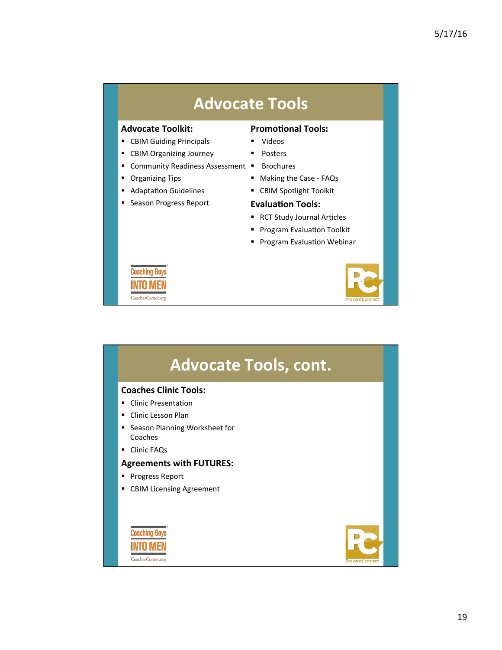## **Advocate Tools**

### **Advocate Toolkit:**

- CBIM Guiding Principals
- CBIM Organizing Journey
- Community Readiness Assessment ■
- Organizing Tips
- Adaptation Guidelines
- Season Progress Report

### **Promotional Tools:**

- § Videos
- Posters
- § Brochures
- Making the Case FAQs
- CBIM Spotlight Toolkit

### **Evaluation Tools:**

- RCT Study Journal Articles
- Program Evaluation Toolkit
- Program Evaluation Webinar



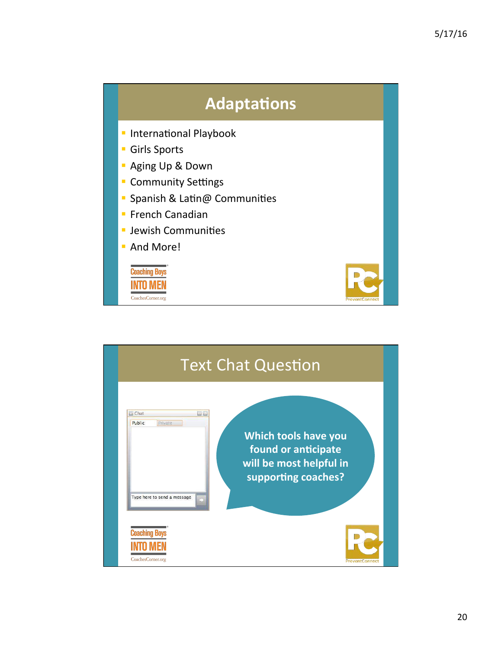

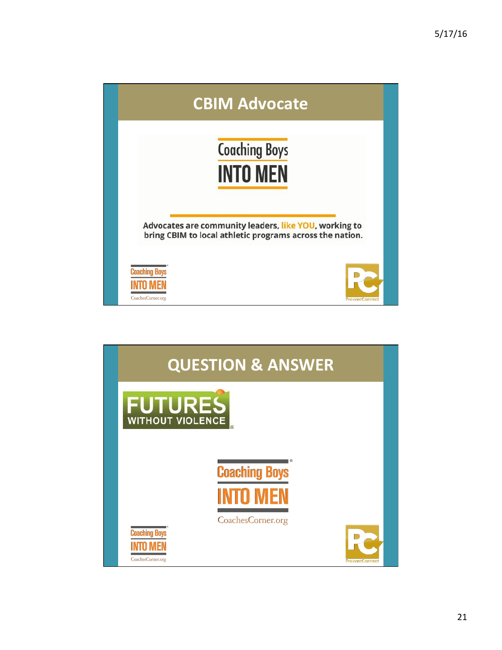

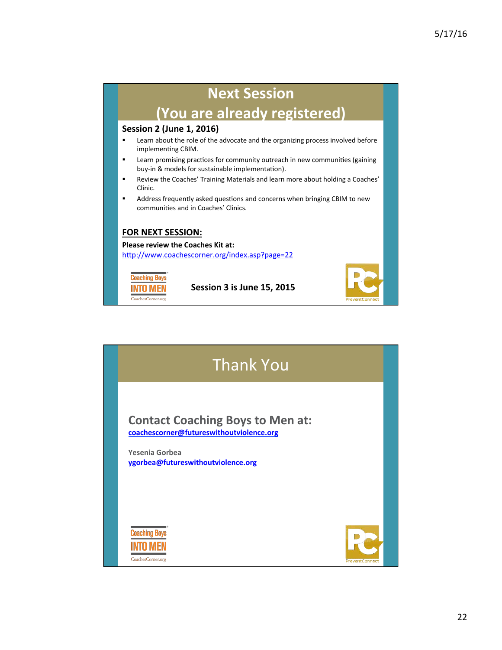## **Next Session (You are already registered)**

### **Session 2 (June 1, 2016)**

- Learn about the role of the advocate and the organizing process involved before implementing CBIM.
- Learn promising practices for community outreach in new communities (gaining buy-in & models for sustainable implementation).
- Review the Coaches' Training Materials and learn more about holding a Coaches' Clinic.
- Address frequently asked questions and concerns when bringing CBIM to new communities and in Coaches' Clinics.

### **FOR NEXT SESSION:**

### **Please review the Coaches Kit at:**

http://www.coachescorner.org/index.asp?page=22



**Session 3 is June 15, 2015**